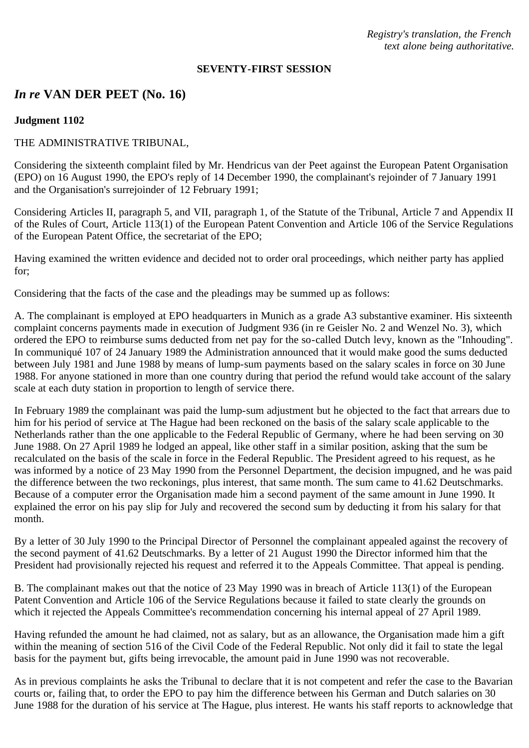*Registry's translation, the French text alone being authoritative.*

#### **SEVENTY-FIRST SESSION**

# *In re* **VAN DER PEET (No. 16)**

#### **Judgment 1102**

### THE ADMINISTRATIVE TRIBUNAL,

Considering the sixteenth complaint filed by Mr. Hendricus van der Peet against the European Patent Organisation (EPO) on 16 August 1990, the EPO's reply of 14 December 1990, the complainant's rejoinder of 7 January 1991 and the Organisation's surrejoinder of 12 February 1991;

Considering Articles II, paragraph 5, and VII, paragraph 1, of the Statute of the Tribunal, Article 7 and Appendix II of the Rules of Court, Article 113(1) of the European Patent Convention and Article 106 of the Service Regulations of the European Patent Office, the secretariat of the EPO;

Having examined the written evidence and decided not to order oral proceedings, which neither party has applied for;

Considering that the facts of the case and the pleadings may be summed up as follows:

A. The complainant is employed at EPO headquarters in Munich as a grade A3 substantive examiner. His sixteenth complaint concerns payments made in execution of Judgment 936 (in re Geisler No. 2 and Wenzel No. 3), which ordered the EPO to reimburse sums deducted from net pay for the so-called Dutch levy, known as the "Inhouding". In communiqué 107 of 24 January 1989 the Administration announced that it would make good the sums deducted between July 1981 and June 1988 by means of lump-sum payments based on the salary scales in force on 30 June 1988. For anyone stationed in more than one country during that period the refund would take account of the salary scale at each duty station in proportion to length of service there.

In February 1989 the complainant was paid the lump-sum adjustment but he objected to the fact that arrears due to him for his period of service at The Hague had been reckoned on the basis of the salary scale applicable to the Netherlands rather than the one applicable to the Federal Republic of Germany, where he had been serving on 30 June 1988. On 27 April 1989 he lodged an appeal, like other staff in a similar position, asking that the sum be recalculated on the basis of the scale in force in the Federal Republic. The President agreed to his request, as he was informed by a notice of 23 May 1990 from the Personnel Department, the decision impugned, and he was paid the difference between the two reckonings, plus interest, that same month. The sum came to 41.62 Deutschmarks. Because of a computer error the Organisation made him a second payment of the same amount in June 1990. It explained the error on his pay slip for July and recovered the second sum by deducting it from his salary for that month.

By a letter of 30 July 1990 to the Principal Director of Personnel the complainant appealed against the recovery of the second payment of 41.62 Deutschmarks. By a letter of 21 August 1990 the Director informed him that the President had provisionally rejected his request and referred it to the Appeals Committee. That appeal is pending.

B. The complainant makes out that the notice of 23 May 1990 was in breach of Article 113(1) of the European Patent Convention and Article 106 of the Service Regulations because it failed to state clearly the grounds on which it rejected the Appeals Committee's recommendation concerning his internal appeal of 27 April 1989.

Having refunded the amount he had claimed, not as salary, but as an allowance, the Organisation made him a gift within the meaning of section 516 of the Civil Code of the Federal Republic. Not only did it fail to state the legal basis for the payment but, gifts being irrevocable, the amount paid in June 1990 was not recoverable.

As in previous complaints he asks the Tribunal to declare that it is not competent and refer the case to the Bavarian courts or, failing that, to order the EPO to pay him the difference between his German and Dutch salaries on 30 June 1988 for the duration of his service at The Hague, plus interest. He wants his staff reports to acknowledge that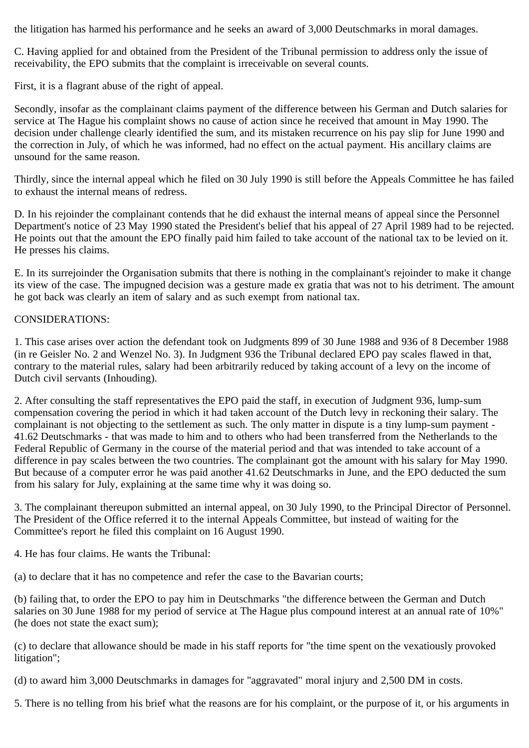the litigation has harmed his performance and he seeks an award of 3,000 Deutschmarks in moral damages.

C. Having applied for and obtained from the President of the Tribunal permission to address only the issue of receivability, the EPO submits that the complaint is irreceivable on several counts.

First, it is a flagrant abuse of the right of appeal.

Secondly, insofar as the complainant claims payment of the difference between his German and Dutch salaries for service at The Hague his complaint shows no cause of action since he received that amount in May 1990. The decision under challenge clearly identified the sum, and its mistaken recurrence on his pay slip for June 1990 and the correction in July, of which he was informed, had no effect on the actual payment. His ancillary claims are unsound for the same reason.

Thirdly, since the internal appeal which he filed on 30 July 1990 is still before the Appeals Committee he has failed to exhaust the internal means of redress.

D. In his rejoinder the complainant contends that he did exhaust the internal means of appeal since the Personnel Department's notice of 23 May 1990 stated the President's belief that his appeal of 27 April 1989 had to be rejected. He points out that the amount the EPO finally paid him failed to take account of the national tax to be levied on it. He presses his claims.

E. In its surrejoinder the Organisation submits that there is nothing in the complainant's rejoinder to make it change its view of the case. The impugned decision was a gesture made ex gratia that was not to his detriment. The amount he got back was clearly an item of salary and as such exempt from national tax.

## CONSIDERATIONS:

1. This case arises over action the defendant took on Judgments 899 of 30 June 1988 and 936 of 8 December 1988 (in re Geisler No. 2 and Wenzel No. 3). In Judgment 936 the Tribunal declared EPO pay scales flawed in that, contrary to the material rules, salary had been arbitrarily reduced by taking account of a levy on the income of Dutch civil servants (Inhouding).

2. After consulting the staff representatives the EPO paid the staff, in execution of Judgment 936, lump-sum compensation covering the period in which it had taken account of the Dutch levy in reckoning their salary. The complainant is not objecting to the settlement as such. The only matter in dispute is a tiny lump-sum payment - 41.62 Deutschmarks - that was made to him and to others who had been transferred from the Netherlands to the Federal Republic of Germany in the course of the material period and that was intended to take account of a difference in pay scales between the two countries. The complainant got the amount with his salary for May 1990. But because of a computer error he was paid another 41.62 Deutschmarks in June, and the EPO deducted the sum from his salary for July, explaining at the same time why it was doing so.

3. The complainant thereupon submitted an internal appeal, on 30 July 1990, to the Principal Director of Personnel. The President of the Office referred it to the internal Appeals Committee, but instead of waiting for the Committee's report he filed this complaint on 16 August 1990.

4. He has four claims. He wants the Tribunal:

(a) to declare that it has no competence and refer the case to the Bavarian courts;

(b) failing that, to order the EPO to pay him in Deutschmarks "the difference between the German and Dutch salaries on 30 June 1988 for my period of service at The Hague plus compound interest at an annual rate of 10%" (he does not state the exact sum);

(c) to declare that allowance should be made in his staff reports for "the time spent on the vexatiously provoked litigation";

(d) to award him 3,000 Deutschmarks in damages for "aggravated" moral injury and 2,500 DM in costs.

5. There is no telling from his brief what the reasons are for his complaint, or the purpose of it, or his arguments in